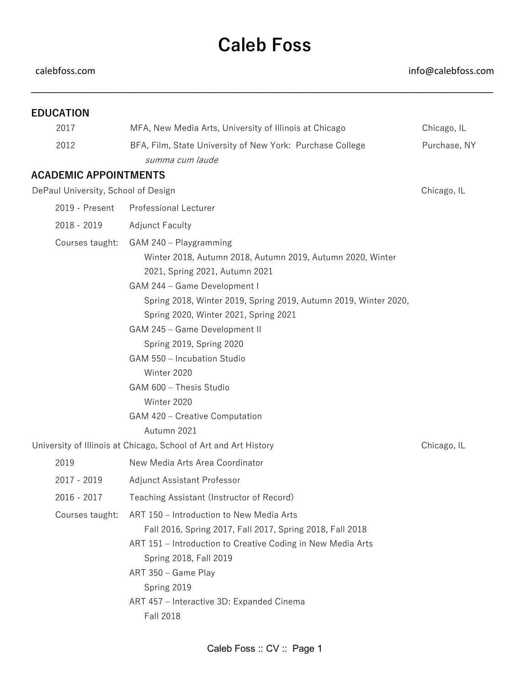## **Caleb Foss**

calebfoss.com info@calebfoss.com

| <b>EDUCATION</b>                    |                                                                                                                                                                                                                                                                                                                                                                                                                                                                           |              |
|-------------------------------------|---------------------------------------------------------------------------------------------------------------------------------------------------------------------------------------------------------------------------------------------------------------------------------------------------------------------------------------------------------------------------------------------------------------------------------------------------------------------------|--------------|
| 2017                                | MFA, New Media Arts, University of Illinois at Chicago                                                                                                                                                                                                                                                                                                                                                                                                                    | Chicago, IL  |
| 2012                                | BFA, Film, State University of New York: Purchase College<br>summa cum laude                                                                                                                                                                                                                                                                                                                                                                                              | Purchase, NY |
| <b>ACADEMIC APPOINTMENTS</b>        |                                                                                                                                                                                                                                                                                                                                                                                                                                                                           |              |
| DePaul University, School of Design |                                                                                                                                                                                                                                                                                                                                                                                                                                                                           | Chicago, IL  |
| 2019 - Present                      | <b>Professional Lecturer</b>                                                                                                                                                                                                                                                                                                                                                                                                                                              |              |
| 2018 - 2019                         | <b>Adjunct Faculty</b>                                                                                                                                                                                                                                                                                                                                                                                                                                                    |              |
| Courses taught:                     | GAM 240 - Playgramming<br>Winter 2018, Autumn 2018, Autumn 2019, Autumn 2020, Winter<br>2021, Spring 2021, Autumn 2021<br>GAM 244 - Game Development I<br>Spring 2018, Winter 2019, Spring 2019, Autumn 2019, Winter 2020,<br>Spring 2020, Winter 2021, Spring 2021<br>GAM 245 - Game Development II<br>Spring 2019, Spring 2020<br>GAM 550 - Incubation Studio<br>Winter 2020<br>GAM 600 - Thesis Studio<br>Winter 2020<br>GAM 420 - Creative Computation<br>Autumn 2021 |              |
|                                     | University of Illinois at Chicago, School of Art and Art History                                                                                                                                                                                                                                                                                                                                                                                                          | Chicago, IL  |
| 2019                                | New Media Arts Area Coordinator                                                                                                                                                                                                                                                                                                                                                                                                                                           |              |
| 2017 - 2019                         | Adjunct Assistant Professor                                                                                                                                                                                                                                                                                                                                                                                                                                               |              |
| $2016 - 2017$                       | Teaching Assistant (Instructor of Record)                                                                                                                                                                                                                                                                                                                                                                                                                                 |              |
| Courses taught:                     | ART 150 - Introduction to New Media Arts<br>Fall 2016, Spring 2017, Fall 2017, Spring 2018, Fall 2018<br>ART 151 - Introduction to Creative Coding in New Media Arts<br>Spring 2018, Fall 2019<br>ART 350 - Game Play<br>Spring 2019<br>ART 457 - Interactive 3D: Expanded Cinema<br><b>Fall 2018</b>                                                                                                                                                                     |              |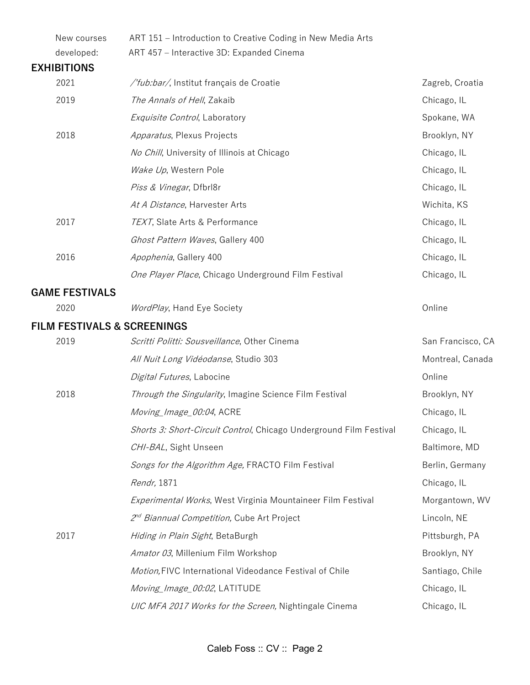| ART 151 - Introduction to Creative Coding in New Media Arts        |                   |
|--------------------------------------------------------------------|-------------------|
| ART 457 - Interactive 3D: Expanded Cinema                          |                   |
|                                                                    |                   |
| /'fub:bar/, Institut français de Croatie                           | Zagreb, Croatia   |
| The Annals of Hell, Zakaib                                         | Chicago, IL       |
| Exquisite Control, Laboratory                                      | Spokane, WA       |
| Apparatus, Plexus Projects                                         | Brooklyn, NY      |
| No Chill, University of Illinois at Chicago                        | Chicago, IL       |
| Wake Up, Western Pole                                              | Chicago, IL       |
| Piss & Vinegar, Dfbrl8r                                            | Chicago, IL       |
| At A Distance, Harvester Arts                                      | Wichita, KS       |
| TEXT, Slate Arts & Performance                                     | Chicago, IL       |
| Ghost Pattern Waves, Gallery 400                                   | Chicago, IL       |
| Apophenia, Gallery 400                                             | Chicago, IL       |
| One Player Place, Chicago Underground Film Festival                | Chicago, IL       |
|                                                                    |                   |
| WordPlay, Hand Eye Society                                         | Online            |
| <b>FILM FESTIVALS &amp; SCREENINGS</b>                             |                   |
| Scritti Politti: Sousveillance, Other Cinema                       | San Francisco, CA |
| All Nuit Long Vidéodanse, Studio 303                               | Montreal, Canada  |
| Digital Futures, Labocine                                          | Online            |
| Through the Singularity, Imagine Science Film Festival             | Brooklyn, NY      |
| Moving_Image_00:04, ACRE                                           | Chicago, IL       |
| Shorts 3: Short-Circuit Control, Chicago Underground Film Festival | Chicago, IL       |
| CHI-BAL, Sight Unseen                                              | Baltimore, MD     |
| Songs for the Algorithm Age, FRACTO Film Festival                  | Berlin, Germany   |
| Rendr, 1871                                                        | Chicago, IL       |
| Experimental Works, West Virginia Mountaineer Film Festival        | Morgantown, WV    |
| 2 <sup>nd</sup> Biannual Competition, Cube Art Project             | Lincoln, NE       |
| Hiding in Plain Sight, BetaBurgh                                   | Pittsburgh, PA    |
| Amator 03, Millenium Film Workshop                                 | Brooklyn, NY      |
| Motion, FIVC International Videodance Festival of Chile            | Santiago, Chile   |
| Moving_Image_00:02, LATITUDE                                       | Chicago, IL       |
| UIC MFA 2017 Works for the Screen, Nightingale Cinema              | Chicago, IL       |
|                                                                    |                   |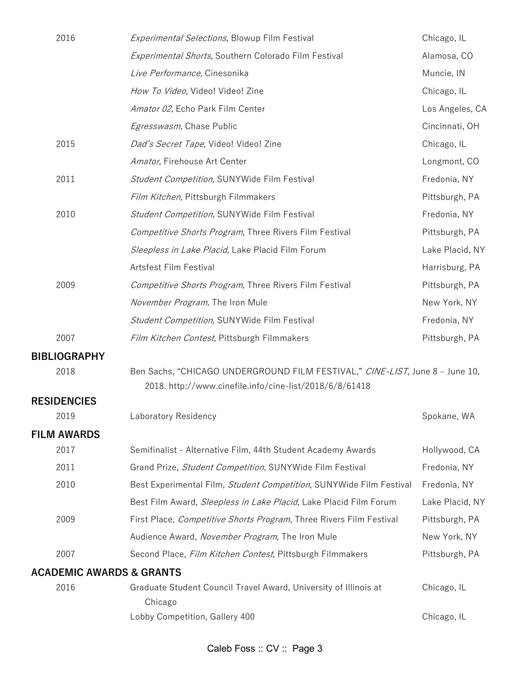| 2016                                | Experimental Selections, Blowup Film Festival                                                                                           | Chicago, IL     |
|-------------------------------------|-----------------------------------------------------------------------------------------------------------------------------------------|-----------------|
|                                     | Experimental Shorts, Southern Colorado Film Festival                                                                                    | Alamosa, CO     |
|                                     | Live Performance, Cinesonika                                                                                                            | Muncie, IN      |
|                                     | How To Video, Video! Video! Zine                                                                                                        | Chicago, IL     |
|                                     | Amator 02, Echo Park Film Center                                                                                                        | Los Angeles, CA |
|                                     | Egresswasm, Chase Public                                                                                                                | Cincinnati, OH  |
| 2015                                | Dad's Secret Tape, Video! Video! Zine                                                                                                   | Chicago, IL     |
|                                     | Amator, Firehouse Art Center                                                                                                            | Longmont, CO    |
| 2011                                | Student Competition, SUNYWide Film Festival                                                                                             | Fredonia, NY    |
|                                     | Film Kitchen, Pittsburgh Filmmakers                                                                                                     | Pittsburgh, PA  |
| 2010                                | Student Competition, SUNYWide Film Festival                                                                                             | Fredonia, NY    |
|                                     | Competitive Shorts Program, Three Rivers Film Festival                                                                                  | Pittsburgh, PA  |
|                                     | Sleepless in Lake Placid, Lake Placid Film Forum                                                                                        | Lake Placid, NY |
|                                     | Artsfest Film Festival                                                                                                                  | Harrisburg, PA  |
| 2009                                | Competitive Shorts Program, Three Rivers Film Festival                                                                                  | Pittsburgh, PA  |
|                                     | November Program, The Iron Mule                                                                                                         | New York, NY    |
|                                     | Student Competition, SUNYWide Film Festival                                                                                             | Fredonia, NY    |
| 2007                                | Film Kitchen Contest, Pittsburgh Filmmakers                                                                                             | Pittsburgh, PA  |
| <b>BIBLIOGRAPHY</b>                 |                                                                                                                                         |                 |
| 2018                                | Ben Sachs, "CHICAGO UNDERGROUND FILM FESTIVAL," CINE-LIST, June 8 - June 10,<br>2018. http://www.cinefile.info/cine-list/2018/6/8/61418 |                 |
| <b>RESIDENCIES</b>                  |                                                                                                                                         |                 |
| 2019                                | Laboratory Residency                                                                                                                    | Spokane, WA     |
| <b>FILM AWARDS</b>                  |                                                                                                                                         |                 |
| 2017                                | Semifinalist - Alternative Film, 44th Student Academy Awards                                                                            | Hollywood, CA   |
| 2011                                | Grand Prize, Student Competition, SUNYWide Film Festival                                                                                | Fredonia, NY    |
| 2010                                | Best Experimental Film, Student Competition, SUNYWide Film Festival                                                                     | Fredonia, NY    |
|                                     | Best Film Award, Sleepless in Lake Placid, Lake Placid Film Forum                                                                       | Lake Placid, NY |
| 2009                                | First Place, Competitive Shorts Program, Three Rivers Film Festival                                                                     | Pittsburgh, PA  |
|                                     | Audience Award, November Program, The Iron Mule                                                                                         | New York, NY    |
| 2007                                | Second Place, Film Kitchen Contest, Pittsburgh Filmmakers                                                                               | Pittsburgh, PA  |
| <b>ACADEMIC AWARDS &amp; GRANTS</b> |                                                                                                                                         |                 |
| 2016                                | Graduate Student Council Travel Award, University of Illinois at<br>Chicago                                                             | Chicago, IL     |
|                                     | Lobby Competition, Gallery 400                                                                                                          | Chicago, IL     |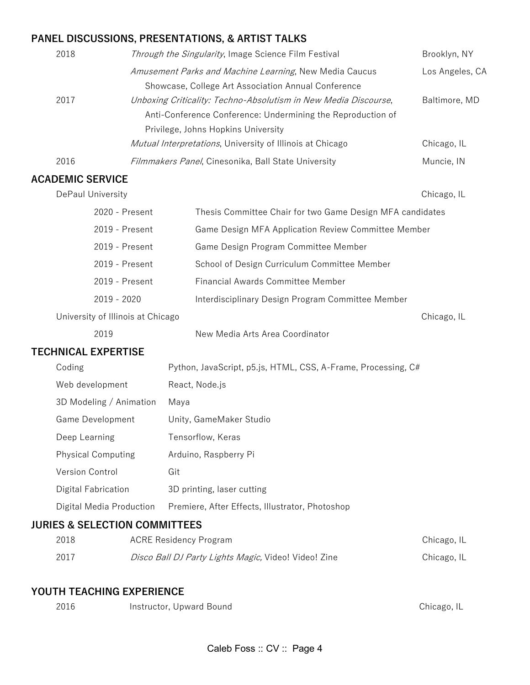## **PANEL DISCUSSIONS, PRESENTATIONS, & ARTIST TALKS**

| 2018 | Through the Singularity, Image Science Film Festival            | Brooklyn, NY    |
|------|-----------------------------------------------------------------|-----------------|
|      | Amusement Parks and Machine Learning, New Media Caucus          | Los Angeles, CA |
|      | Showcase, College Art Association Annual Conference             |                 |
| 2017 | Unboxing Criticality: Techno-Absolutism in New Media Discourse, | Baltimore, MD   |
|      | Anti-Conference Conference: Undermining the Reproduction of     |                 |
|      | Privilege, Johns Hopkins University                             |                 |
|      | Mutual Interpretations, University of Illinois at Chicago       | Chicago, IL     |
| 2016 | Filmmakers Panel, Cinesonika, Ball State University             | Muncie, IN      |
|      |                                                                 |                 |

## AC/

|                   | <b>ACADEMIC SERVICE</b>                  |                |                                                               |             |  |
|-------------------|------------------------------------------|----------------|---------------------------------------------------------------|-------------|--|
| DePaul University |                                          |                |                                                               | Chicago, IL |  |
|                   |                                          | 2020 - Present | Thesis Committee Chair for two Game Design MFA candidates     |             |  |
|                   |                                          | 2019 - Present | Game Design MFA Application Review Committee Member           |             |  |
|                   |                                          | 2019 - Present | Game Design Program Committee Member                          |             |  |
|                   |                                          | 2019 - Present | School of Design Curriculum Committee Member                  |             |  |
|                   |                                          | 2019 - Present | <b>Financial Awards Committee Member</b>                      |             |  |
|                   | 2019 - 2020                              |                | Interdisciplinary Design Program Committee Member             |             |  |
|                   | University of Illinois at Chicago        |                |                                                               | Chicago, IL |  |
|                   | 2019                                     |                | New Media Arts Area Coordinator                               |             |  |
|                   | <b>TECHNICAL EXPERTISE</b>               |                |                                                               |             |  |
|                   | Coding                                   |                | Python, JavaScript, p5.js, HTML, CSS, A-Frame, Processing, C# |             |  |
|                   | Web development                          |                | React, Node.js                                                |             |  |
|                   | 3D Modeling / Animation                  |                | Maya                                                          |             |  |
|                   | Game Development                         |                | Unity, GameMaker Studio                                       |             |  |
|                   | Deep Learning                            |                | Tensorflow, Keras                                             |             |  |
|                   | <b>Physical Computing</b>                |                | Arduino, Raspberry Pi                                         |             |  |
|                   | Version Control                          |                | Git                                                           |             |  |
|                   | Digital Fabrication                      |                | 3D printing, laser cutting                                    |             |  |
|                   | Digital Media Production                 |                | Premiere, After Effects, Illustrator, Photoshop               |             |  |
|                   | <b>JURIES &amp; SELECTION COMMITTEES</b> |                |                                                               |             |  |
|                   | 2018                                     |                | <b>ACRE Residency Program</b>                                 | Chicago, IL |  |
|                   | 2017                                     |                | Disco Ball DJ Party Lights Magic, Video! Video! Zine          | Chicago, IL |  |

## **YOUTH TEACHING EXPERIENCE**

| 2016 | Instructor, Upward Bound | Chicago, IL |
|------|--------------------------|-------------|
|      |                          |             |